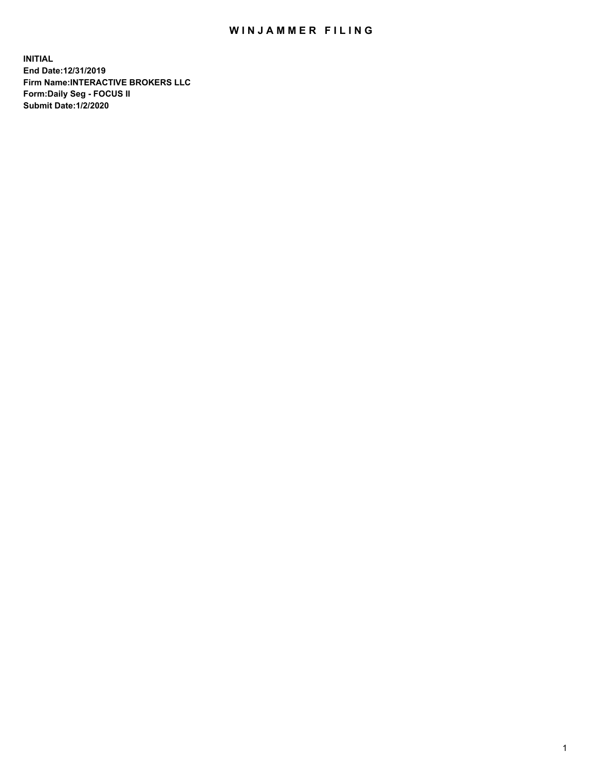## WIN JAMMER FILING

**INITIAL End Date:12/31/2019 Firm Name:INTERACTIVE BROKERS LLC Form:Daily Seg - FOCUS II Submit Date:1/2/2020**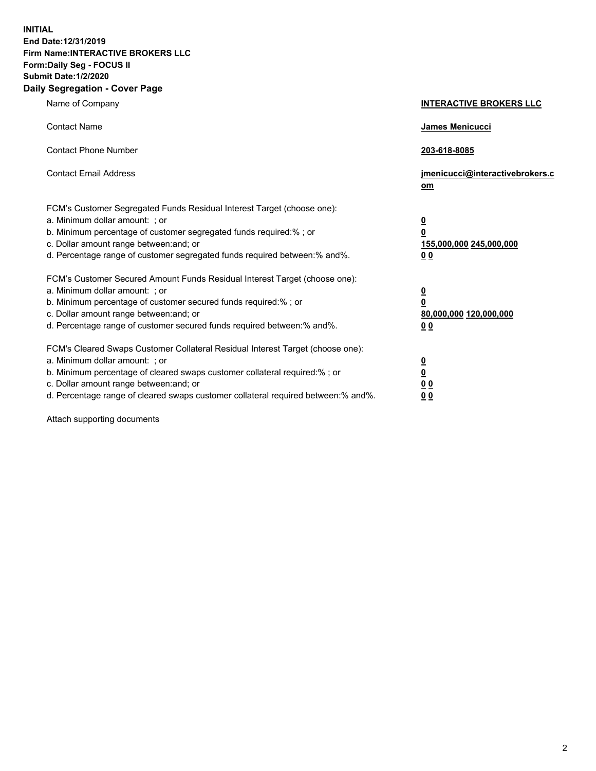**INITIAL End Date:12/31/2019 Firm Name:INTERACTIVE BROKERS LLC Form:Daily Seg - FOCUS II Submit Date:1/2/2020 Daily Segregation - Cover Page**

| Name of Company                                                                                                                                                                                                                                                                                                                | <b>INTERACTIVE BROKERS LLC</b>                                                                  |
|--------------------------------------------------------------------------------------------------------------------------------------------------------------------------------------------------------------------------------------------------------------------------------------------------------------------------------|-------------------------------------------------------------------------------------------------|
| <b>Contact Name</b>                                                                                                                                                                                                                                                                                                            | James Menicucci                                                                                 |
| <b>Contact Phone Number</b>                                                                                                                                                                                                                                                                                                    | 203-618-8085                                                                                    |
| <b>Contact Email Address</b>                                                                                                                                                                                                                                                                                                   | jmenicucci@interactivebrokers.c<br>om                                                           |
| FCM's Customer Segregated Funds Residual Interest Target (choose one):<br>a. Minimum dollar amount: ; or<br>b. Minimum percentage of customer segregated funds required:% ; or<br>c. Dollar amount range between: and; or<br>d. Percentage range of customer segregated funds required between:% and%.                         | $\overline{\mathbf{0}}$<br>$\overline{\mathbf{0}}$<br>155,000,000 245,000,000<br>0 <sub>0</sub> |
| FCM's Customer Secured Amount Funds Residual Interest Target (choose one):<br>a. Minimum dollar amount: ; or<br>b. Minimum percentage of customer secured funds required:%; or<br>c. Dollar amount range between: and; or<br>d. Percentage range of customer secured funds required between:% and%.                            | $\overline{\mathbf{0}}$<br>$\overline{\mathbf{0}}$<br>80,000,000 120,000,000<br>0 <sub>0</sub>  |
| FCM's Cleared Swaps Customer Collateral Residual Interest Target (choose one):<br>a. Minimum dollar amount: ; or<br>b. Minimum percentage of cleared swaps customer collateral required:% ; or<br>c. Dollar amount range between: and; or<br>d. Percentage range of cleared swaps customer collateral required between:% and%. | $\overline{\mathbf{0}}$<br>$\overline{\mathbf{0}}$<br>0 <sub>0</sub><br>0 <sub>0</sub>          |

Attach supporting documents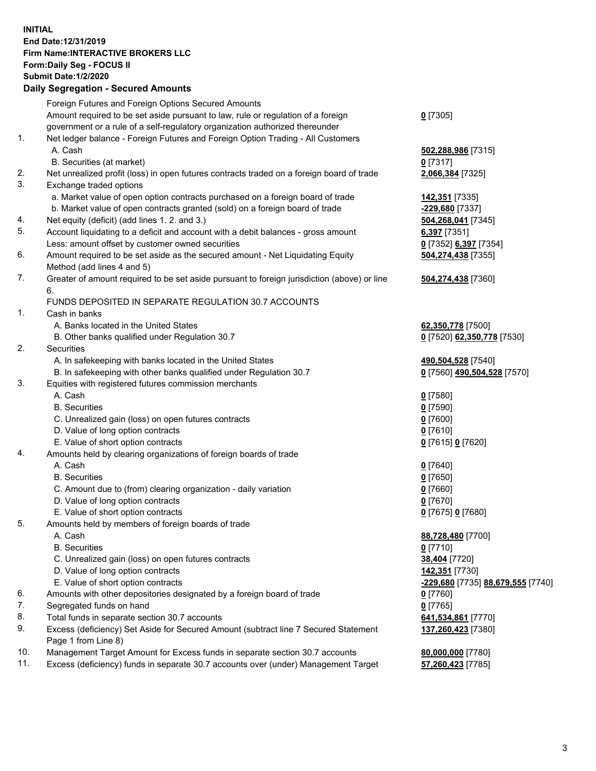## **INITIAL End Date:12/31/2019 Firm Name:INTERACTIVE BROKERS LLC Form:Daily Seg - FOCUS II Submit Date:1/2/2020 Daily Segregation - Secured Amounts**

| Foreign Futures and Foreign Options Secured Amounts                                         |                                                                                                                                                                                                                                                                                                                                                                                                                                                                                                                                                                                                                                                                                                                                                                                                                                                                                                                                                                                                                                                                                                                                                                                                                                                                                                                              |
|---------------------------------------------------------------------------------------------|------------------------------------------------------------------------------------------------------------------------------------------------------------------------------------------------------------------------------------------------------------------------------------------------------------------------------------------------------------------------------------------------------------------------------------------------------------------------------------------------------------------------------------------------------------------------------------------------------------------------------------------------------------------------------------------------------------------------------------------------------------------------------------------------------------------------------------------------------------------------------------------------------------------------------------------------------------------------------------------------------------------------------------------------------------------------------------------------------------------------------------------------------------------------------------------------------------------------------------------------------------------------------------------------------------------------------|
| Amount required to be set aside pursuant to law, rule or regulation of a foreign            | $0$ [7305]                                                                                                                                                                                                                                                                                                                                                                                                                                                                                                                                                                                                                                                                                                                                                                                                                                                                                                                                                                                                                                                                                                                                                                                                                                                                                                                   |
| government or a rule of a self-regulatory organization authorized thereunder                |                                                                                                                                                                                                                                                                                                                                                                                                                                                                                                                                                                                                                                                                                                                                                                                                                                                                                                                                                                                                                                                                                                                                                                                                                                                                                                                              |
| Net ledger balance - Foreign Futures and Foreign Option Trading - All Customers             |                                                                                                                                                                                                                                                                                                                                                                                                                                                                                                                                                                                                                                                                                                                                                                                                                                                                                                                                                                                                                                                                                                                                                                                                                                                                                                                              |
| A. Cash                                                                                     | 502,288,986 [7315]                                                                                                                                                                                                                                                                                                                                                                                                                                                                                                                                                                                                                                                                                                                                                                                                                                                                                                                                                                                                                                                                                                                                                                                                                                                                                                           |
| B. Securities (at market)                                                                   | 0 [7317]                                                                                                                                                                                                                                                                                                                                                                                                                                                                                                                                                                                                                                                                                                                                                                                                                                                                                                                                                                                                                                                                                                                                                                                                                                                                                                                     |
| Net unrealized profit (loss) in open futures contracts traded on a foreign board of trade   | 2,066,384 [7325]                                                                                                                                                                                                                                                                                                                                                                                                                                                                                                                                                                                                                                                                                                                                                                                                                                                                                                                                                                                                                                                                                                                                                                                                                                                                                                             |
| Exchange traded options                                                                     |                                                                                                                                                                                                                                                                                                                                                                                                                                                                                                                                                                                                                                                                                                                                                                                                                                                                                                                                                                                                                                                                                                                                                                                                                                                                                                                              |
| a. Market value of open option contracts purchased on a foreign board of trade              | <u>142,351</u> [7335]                                                                                                                                                                                                                                                                                                                                                                                                                                                                                                                                                                                                                                                                                                                                                                                                                                                                                                                                                                                                                                                                                                                                                                                                                                                                                                        |
| b. Market value of open contracts granted (sold) on a foreign board of trade                | -229,680 [7337]                                                                                                                                                                                                                                                                                                                                                                                                                                                                                                                                                                                                                                                                                                                                                                                                                                                                                                                                                                                                                                                                                                                                                                                                                                                                                                              |
|                                                                                             | 504,268,041 [7345]                                                                                                                                                                                                                                                                                                                                                                                                                                                                                                                                                                                                                                                                                                                                                                                                                                                                                                                                                                                                                                                                                                                                                                                                                                                                                                           |
| Account liquidating to a deficit and account with a debit balances - gross amount           | $6,397$ [7351]                                                                                                                                                                                                                                                                                                                                                                                                                                                                                                                                                                                                                                                                                                                                                                                                                                                                                                                                                                                                                                                                                                                                                                                                                                                                                                               |
| Less: amount offset by customer owned securities                                            | 0 [7352] 6,397 [7354]                                                                                                                                                                                                                                                                                                                                                                                                                                                                                                                                                                                                                                                                                                                                                                                                                                                                                                                                                                                                                                                                                                                                                                                                                                                                                                        |
| Amount required to be set aside as the secured amount - Net Liquidating Equity              | 504,274,438 [7355]                                                                                                                                                                                                                                                                                                                                                                                                                                                                                                                                                                                                                                                                                                                                                                                                                                                                                                                                                                                                                                                                                                                                                                                                                                                                                                           |
| Method (add lines 4 and 5)                                                                  |                                                                                                                                                                                                                                                                                                                                                                                                                                                                                                                                                                                                                                                                                                                                                                                                                                                                                                                                                                                                                                                                                                                                                                                                                                                                                                                              |
| Greater of amount required to be set aside pursuant to foreign jurisdiction (above) or line | 504,274,438 [7360]                                                                                                                                                                                                                                                                                                                                                                                                                                                                                                                                                                                                                                                                                                                                                                                                                                                                                                                                                                                                                                                                                                                                                                                                                                                                                                           |
| 6.                                                                                          |                                                                                                                                                                                                                                                                                                                                                                                                                                                                                                                                                                                                                                                                                                                                                                                                                                                                                                                                                                                                                                                                                                                                                                                                                                                                                                                              |
| FUNDS DEPOSITED IN SEPARATE REGULATION 30.7 ACCOUNTS                                        |                                                                                                                                                                                                                                                                                                                                                                                                                                                                                                                                                                                                                                                                                                                                                                                                                                                                                                                                                                                                                                                                                                                                                                                                                                                                                                                              |
| Cash in banks                                                                               |                                                                                                                                                                                                                                                                                                                                                                                                                                                                                                                                                                                                                                                                                                                                                                                                                                                                                                                                                                                                                                                                                                                                                                                                                                                                                                                              |
| A. Banks located in the United States                                                       | 62,350,778 [7500]                                                                                                                                                                                                                                                                                                                                                                                                                                                                                                                                                                                                                                                                                                                                                                                                                                                                                                                                                                                                                                                                                                                                                                                                                                                                                                            |
|                                                                                             | 0 [7520] 62,350,778 [7530]                                                                                                                                                                                                                                                                                                                                                                                                                                                                                                                                                                                                                                                                                                                                                                                                                                                                                                                                                                                                                                                                                                                                                                                                                                                                                                   |
| Securities                                                                                  |                                                                                                                                                                                                                                                                                                                                                                                                                                                                                                                                                                                                                                                                                                                                                                                                                                                                                                                                                                                                                                                                                                                                                                                                                                                                                                                              |
|                                                                                             | 490,504,528 [7540]                                                                                                                                                                                                                                                                                                                                                                                                                                                                                                                                                                                                                                                                                                                                                                                                                                                                                                                                                                                                                                                                                                                                                                                                                                                                                                           |
|                                                                                             | 0 [7560] 490,504,528 [7570]                                                                                                                                                                                                                                                                                                                                                                                                                                                                                                                                                                                                                                                                                                                                                                                                                                                                                                                                                                                                                                                                                                                                                                                                                                                                                                  |
|                                                                                             |                                                                                                                                                                                                                                                                                                                                                                                                                                                                                                                                                                                                                                                                                                                                                                                                                                                                                                                                                                                                                                                                                                                                                                                                                                                                                                                              |
|                                                                                             | $0$ [7580]                                                                                                                                                                                                                                                                                                                                                                                                                                                                                                                                                                                                                                                                                                                                                                                                                                                                                                                                                                                                                                                                                                                                                                                                                                                                                                                   |
|                                                                                             | $0$ [7590]                                                                                                                                                                                                                                                                                                                                                                                                                                                                                                                                                                                                                                                                                                                                                                                                                                                                                                                                                                                                                                                                                                                                                                                                                                                                                                                   |
|                                                                                             | $0$ [7600]                                                                                                                                                                                                                                                                                                                                                                                                                                                                                                                                                                                                                                                                                                                                                                                                                                                                                                                                                                                                                                                                                                                                                                                                                                                                                                                   |
|                                                                                             | $0$ [7610]                                                                                                                                                                                                                                                                                                                                                                                                                                                                                                                                                                                                                                                                                                                                                                                                                                                                                                                                                                                                                                                                                                                                                                                                                                                                                                                   |
|                                                                                             | 0 [7615] 0 [7620]                                                                                                                                                                                                                                                                                                                                                                                                                                                                                                                                                                                                                                                                                                                                                                                                                                                                                                                                                                                                                                                                                                                                                                                                                                                                                                            |
|                                                                                             |                                                                                                                                                                                                                                                                                                                                                                                                                                                                                                                                                                                                                                                                                                                                                                                                                                                                                                                                                                                                                                                                                                                                                                                                                                                                                                                              |
|                                                                                             | $0$ [7640]                                                                                                                                                                                                                                                                                                                                                                                                                                                                                                                                                                                                                                                                                                                                                                                                                                                                                                                                                                                                                                                                                                                                                                                                                                                                                                                   |
|                                                                                             | $0$ [7650]                                                                                                                                                                                                                                                                                                                                                                                                                                                                                                                                                                                                                                                                                                                                                                                                                                                                                                                                                                                                                                                                                                                                                                                                                                                                                                                   |
|                                                                                             | $0$ [7660]                                                                                                                                                                                                                                                                                                                                                                                                                                                                                                                                                                                                                                                                                                                                                                                                                                                                                                                                                                                                                                                                                                                                                                                                                                                                                                                   |
|                                                                                             | $0$ [7670]                                                                                                                                                                                                                                                                                                                                                                                                                                                                                                                                                                                                                                                                                                                                                                                                                                                                                                                                                                                                                                                                                                                                                                                                                                                                                                                   |
|                                                                                             | 0 [7675] 0 [7680]                                                                                                                                                                                                                                                                                                                                                                                                                                                                                                                                                                                                                                                                                                                                                                                                                                                                                                                                                                                                                                                                                                                                                                                                                                                                                                            |
|                                                                                             |                                                                                                                                                                                                                                                                                                                                                                                                                                                                                                                                                                                                                                                                                                                                                                                                                                                                                                                                                                                                                                                                                                                                                                                                                                                                                                                              |
|                                                                                             | 88,728,480 [7700]                                                                                                                                                                                                                                                                                                                                                                                                                                                                                                                                                                                                                                                                                                                                                                                                                                                                                                                                                                                                                                                                                                                                                                                                                                                                                                            |
|                                                                                             | $0$ [7710]                                                                                                                                                                                                                                                                                                                                                                                                                                                                                                                                                                                                                                                                                                                                                                                                                                                                                                                                                                                                                                                                                                                                                                                                                                                                                                                   |
|                                                                                             | 38,404 [7720]                                                                                                                                                                                                                                                                                                                                                                                                                                                                                                                                                                                                                                                                                                                                                                                                                                                                                                                                                                                                                                                                                                                                                                                                                                                                                                                |
|                                                                                             | 142,351 [7730]                                                                                                                                                                                                                                                                                                                                                                                                                                                                                                                                                                                                                                                                                                                                                                                                                                                                                                                                                                                                                                                                                                                                                                                                                                                                                                               |
|                                                                                             | -229,680 [7735] 88,679,555 [7740]                                                                                                                                                                                                                                                                                                                                                                                                                                                                                                                                                                                                                                                                                                                                                                                                                                                                                                                                                                                                                                                                                                                                                                                                                                                                                            |
|                                                                                             | $0$ [7760]                                                                                                                                                                                                                                                                                                                                                                                                                                                                                                                                                                                                                                                                                                                                                                                                                                                                                                                                                                                                                                                                                                                                                                                                                                                                                                                   |
|                                                                                             | $0$ [7765]                                                                                                                                                                                                                                                                                                                                                                                                                                                                                                                                                                                                                                                                                                                                                                                                                                                                                                                                                                                                                                                                                                                                                                                                                                                                                                                   |
|                                                                                             | 641,534,861 [7770]                                                                                                                                                                                                                                                                                                                                                                                                                                                                                                                                                                                                                                                                                                                                                                                                                                                                                                                                                                                                                                                                                                                                                                                                                                                                                                           |
| Page 1 from Line 8)                                                                         | 137,260,423 [7380]                                                                                                                                                                                                                                                                                                                                                                                                                                                                                                                                                                                                                                                                                                                                                                                                                                                                                                                                                                                                                                                                                                                                                                                                                                                                                                           |
| Management Target Amount for Excess funds in separate section 30.7 accounts                 | 80,000,000 [7780]                                                                                                                                                                                                                                                                                                                                                                                                                                                                                                                                                                                                                                                                                                                                                                                                                                                                                                                                                                                                                                                                                                                                                                                                                                                                                                            |
|                                                                                             | 57,260,423 [7785]                                                                                                                                                                                                                                                                                                                                                                                                                                                                                                                                                                                                                                                                                                                                                                                                                                                                                                                                                                                                                                                                                                                                                                                                                                                                                                            |
|                                                                                             | 2011, Ocglegation - Oceaned Anioanto<br>Net equity (deficit) (add lines 1.2. and 3.)<br>B. Other banks qualified under Regulation 30.7<br>A. In safekeeping with banks located in the United States<br>B. In safekeeping with other banks qualified under Regulation 30.7<br>Equities with registered futures commission merchants<br>A. Cash<br><b>B.</b> Securities<br>C. Unrealized gain (loss) on open futures contracts<br>D. Value of long option contracts<br>E. Value of short option contracts<br>Amounts held by clearing organizations of foreign boards of trade<br>A. Cash<br><b>B.</b> Securities<br>C. Amount due to (from) clearing organization - daily variation<br>D. Value of long option contracts<br>E. Value of short option contracts<br>Amounts held by members of foreign boards of trade<br>A. Cash<br><b>B.</b> Securities<br>C. Unrealized gain (loss) on open futures contracts<br>D. Value of long option contracts<br>E. Value of short option contracts<br>Amounts with other depositories designated by a foreign board of trade<br>Segregated funds on hand<br>Total funds in separate section 30.7 accounts<br>Excess (deficiency) Set Aside for Secured Amount (subtract line 7 Secured Statement<br>Excess (deficiency) funds in separate 30.7 accounts over (under) Management Target |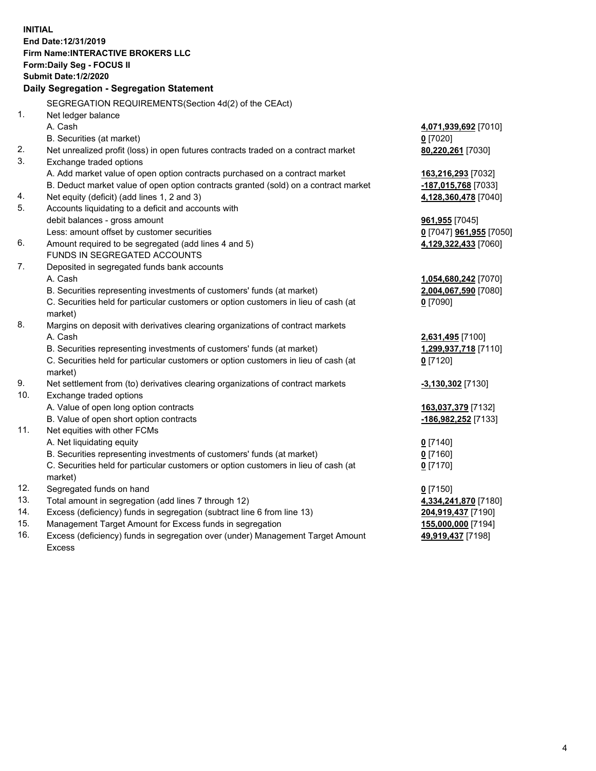| <b>INITIAL</b> | End Date: 12/31/2019<br><b>Firm Name: INTERACTIVE BROKERS LLC</b><br>Form: Daily Seg - FOCUS II<br><b>Submit Date: 1/2/2020</b><br>Daily Segregation - Segregation Statement |                            |
|----------------|------------------------------------------------------------------------------------------------------------------------------------------------------------------------------|----------------------------|
|                | SEGREGATION REQUIREMENTS(Section 4d(2) of the CEAct)                                                                                                                         |                            |
| 1 <sub>1</sub> | Net ledger balance                                                                                                                                                           |                            |
|                | A. Cash                                                                                                                                                                      | 4,071,939,692 [7010]       |
|                | B. Securities (at market)                                                                                                                                                    | $0$ [7020]                 |
| 2.             | Net unrealized profit (loss) in open futures contracts traded on a contract market                                                                                           | 80,220,261 [7030]          |
| 3.             | Exchange traded options                                                                                                                                                      |                            |
|                | A. Add market value of open option contracts purchased on a contract market                                                                                                  | 163,216,293 [7032]         |
|                | B. Deduct market value of open option contracts granted (sold) on a contract market                                                                                          | <u>-187,015,768</u> [7033] |
| 4.             | Net equity (deficit) (add lines 1, 2 and 3)                                                                                                                                  | 4,128,360,478 [7040]       |
| 5.             | Accounts liquidating to a deficit and accounts with                                                                                                                          |                            |
|                | debit balances - gross amount                                                                                                                                                | 961,955 [7045]             |
|                | Less: amount offset by customer securities                                                                                                                                   | 0 [7047] 961,955 [7050]    |
| 6.             | Amount required to be segregated (add lines 4 and 5)                                                                                                                         | 4,129,322,433 [7060]       |
|                | FUNDS IN SEGREGATED ACCOUNTS                                                                                                                                                 |                            |
| 7.             | Deposited in segregated funds bank accounts                                                                                                                                  |                            |
|                | A. Cash                                                                                                                                                                      | 1,054,680,242 [7070]       |
|                | B. Securities representing investments of customers' funds (at market)                                                                                                       | 2,004,067,590 [7080]       |
|                | C. Securities held for particular customers or option customers in lieu of cash (at                                                                                          | $0$ [7090]                 |
|                | market)                                                                                                                                                                      |                            |
| 8.             | Margins on deposit with derivatives clearing organizations of contract markets                                                                                               |                            |
|                | A. Cash                                                                                                                                                                      | 2,631,495 [7100]           |
|                | B. Securities representing investments of customers' funds (at market)                                                                                                       | 1,299,937,718 [7110]       |
|                | C. Securities held for particular customers or option customers in lieu of cash (at                                                                                          | $0$ [7120]                 |
| 9.             | market)<br>Net settlement from (to) derivatives clearing organizations of contract markets                                                                                   | -3,130,302 [7130]          |
| 10.            | Exchange traded options                                                                                                                                                      |                            |
|                | A. Value of open long option contracts                                                                                                                                       | 163,037,379 [7132]         |
|                | B. Value of open short option contracts                                                                                                                                      | -186,982,252 [7133]        |
| 11.            | Net equities with other FCMs                                                                                                                                                 |                            |
|                | A. Net liquidating equity                                                                                                                                                    | $0$ [7140]                 |
|                | B. Securities representing investments of customers' funds (at market)                                                                                                       | $0$ [7160]                 |
|                | C. Securities held for particular customers or option customers in lieu of cash (at                                                                                          | $0$ [7170]                 |
|                | market)                                                                                                                                                                      |                            |
| 12.            | Segregated funds on hand                                                                                                                                                     | $0$ [7150]                 |
| 13.            | Total amount in segregation (add lines 7 through 12)                                                                                                                         | 4,334,241,870 [7180]       |
| 14.            | Excess (deficiency) funds in segregation (subtract line 6 from line 13)                                                                                                      | 204,919,437 [7190]         |
| 15.            | Management Target Amount for Excess funds in segregation                                                                                                                     | 155,000,000 [7194]         |
| 16.            | Excess (deficiency) funds in segregation over (under) Management Target Amount                                                                                               | 49,919,437 [7198]          |

Excess